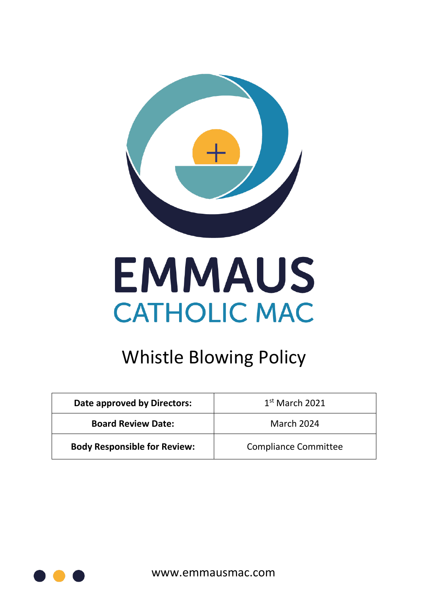

# **EMMAUS CATHOLIC MAC**

## Whistle Blowing Policy

| Date approved by Directors:         | $1st$ March 2021            |
|-------------------------------------|-----------------------------|
| <b>Board Review Date:</b>           | <b>March 2024</b>           |
| <b>Body Responsible for Review:</b> | <b>Compliance Committee</b> |

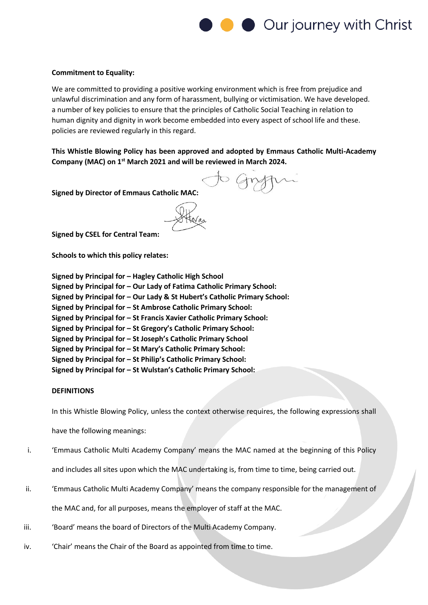

#### **Commitment to Equality:**

We are committed to providing a positive working environment which is free from prejudice and unlawful discrimination and any form of harassment, bullying or victimisation. We have developed. a number of key policies to ensure that the principles of Catholic Social Teaching in relation to human dignity and dignity in work become embedded into every aspect of school life and these. policies are reviewed regularly in this regard.

**This Whistle Blowing Policy has been approved and adopted by Emmaus Catholic Multi-Academy Company (MAC) on 1 st March 2021 and will be reviewed in March 2024.**

**Signed by Director of Emmaus Catholic MAC:** 

**Signed by CSEL for Central Team:** 

**Schools to which this policy relates:**

| Signed by Principal for - Hagley Catholic High School                     |
|---------------------------------------------------------------------------|
| Signed by Principal for - Our Lady of Fatima Catholic Primary School:     |
| Signed by Principal for - Our Lady & St Hubert's Catholic Primary School: |
| Signed by Principal for - St Ambrose Catholic Primary School:             |
| Signed by Principal for - St Francis Xavier Catholic Primary School:      |
| Signed by Principal for - St Gregory's Catholic Primary School:           |
| Signed by Principal for - St Joseph's Catholic Primary School             |
| Signed by Principal for - St Mary's Catholic Primary School:              |
| Signed by Principal for - St Philip's Catholic Primary School:            |
| Signed by Principal for - St Wulstan's Catholic Primary School:           |

#### **DEFINITIONS**

In this Whistle Blowing Policy, unless the context otherwise requires, the following expressions shall

have the following meanings:

- i. 'Emmaus Catholic Multi Academy Company' means the MAC named at the beginning of this Policy and includes all sites upon which the MAC undertaking is, from time to time, being carried out.
- ii. 'Emmaus Catholic Multi Academy Company' means the company responsible for the management of the MAC and, for all purposes, means the employer of staff at the MAC.
- iii. 'Soard' means the board of Directors of the Multi Academy Company.
- iv. 'Chair' means the Chair of the Board as appointed from time to time.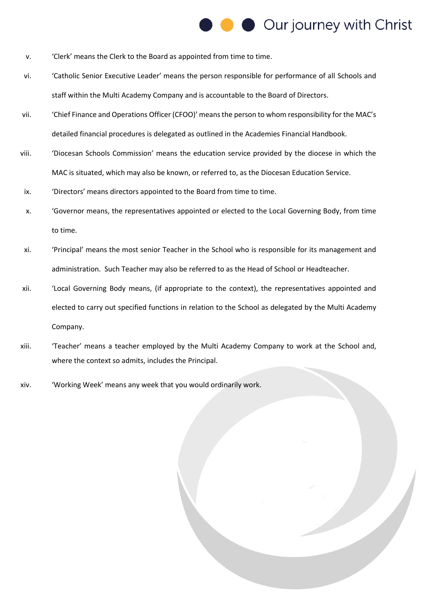## Our journey with Christ

- v. 'Clerk' means the Clerk to the Board as appointed from time to time.
- vi. 'Catholic Senior Executive Leader' means the person responsible for performance of all Schools and staff within the Multi Academy Company and is accountable to the Board of Directors.
- vii. 'Chief Finance and Operations Officer (CFOO)' means the person to whom responsibility for the MAC's detailed financial procedures is delegated as outlined in the Academies Financial Handbook.
- viii. 'Diocesan Schools Commission' means the education service provided by the diocese in which the MAC is situated, which may also be known, or referred to, as the Diocesan Education Service.
- ix. 'Directors' means directors appointed to the Board from time to time.
- x. 'Governor means, the representatives appointed or elected to the Local Governing Body, from time to time.
- xi. 'Principal' means the most senior Teacher in the School who is responsible for its management and administration. Such Teacher may also be referred to as the Head of School or Headteacher.
- xii. 'Local Governing Body means, (if appropriate to the context), the representatives appointed and elected to carry out specified functions in relation to the School as delegated by the Multi Academy Company.
- xiii. 'Teacher' means a teacher employed by the Multi Academy Company to work at the School and, where the context so admits, includes the Principal.
- xiv. 'Working Week' means any week that you would ordinarily work.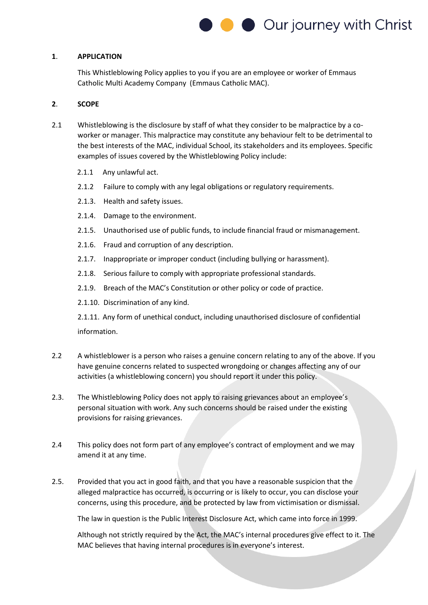

#### **1**. **APPLICATION**

This Whistleblowing Policy applies to you if you are an employee or worker of Emmaus Catholic Multi Academy Company (Emmaus Catholic MAC).

#### **2**. **SCOPE**

- 2.1 Whistleblowing is the disclosure by staff of what they consider to be malpractice by a coworker or manager. This malpractice may constitute any behaviour felt to be detrimental to the best interests of the MAC, individual School, its stakeholders and its employees. Specific examples of issues covered by the Whistleblowing Policy include:
	- 2.1.1 Any unlawful act.
	- 2.1.2 Failure to comply with any legal obligations or regulatory requirements.
	- 2.1.3. Health and safety issues.
	- 2.1.4. Damage to the environment.
	- 2.1.5. Unauthorised use of public funds, to include financial fraud or mismanagement.
	- 2.1.6. Fraud and corruption of any description.
	- 2.1.7. Inappropriate or improper conduct (including bullying or harassment).
	- 2.1.8. Serious failure to comply with appropriate professional standards.
	- 2.1.9. Breach of the MAC's Constitution or other policy or code of practice.
	- 2.1.10. Discrimination of any kind.

2.1.11. Any form of unethical conduct, including unauthorised disclosure of confidential information.

- 2.2 A whistleblower is a person who raises a genuine concern relating to any of the above. If you have genuine concerns related to suspected wrongdoing or changes affecting any of our activities (a whistleblowing concern) you should report it under this policy.
- 2.3. The Whistleblowing Policy does not apply to raising grievances about an employee's personal situation with work. Any such concerns should be raised under the existing provisions for raising grievances.
- 2.4 This policy does not form part of any employee's contract of employment and we may amend it at any time.
- 2.5. Provided that you act in good faith, and that you have a reasonable suspicion that the alleged malpractice has occurred, is occurring or is likely to occur, you can disclose your concerns, using this procedure, and be protected by law from victimisation or dismissal.

The law in question is the Public Interest Disclosure Act, which came into force in 1999.

Although not strictly required by the Act, the MAC's internal procedures give effect to it. The MAC believes that having internal procedures is in everyone's interest.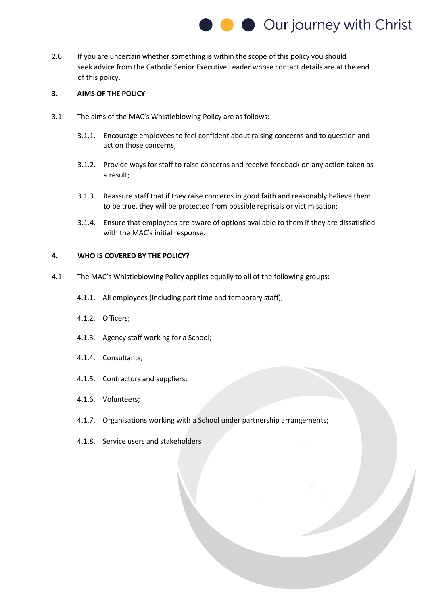

2.6 If you are uncertain whether something is within the scope of this policy you should seek advice from the Catholic Senior Executive Leader whose contact details are at the end of this policy.

### **3. AIMS OF THE POLICY**

- 3.1. The aims of the MAC's Whistleblowing Policy are as follows:
	- 3.1.1. Encourage employees to feel confident about raising concerns and to question and act on those concerns;
	- 3.1.2. Provide ways for staff to raise concerns and receive feedback on any action taken as a result;
	- 3.1.3. Reassure staff that if they raise concerns in good faith and reasonably believe them to be true, they will be protected from possible reprisals or victimisation;
	- 3.1.4. Ensure that employees are aware of options available to them if they are dissatisfied with the MAC's initial response.

#### **4. WHO IS COVERED BY THE POLICY?**

- 4.1 The MAC's Whistleblowing Policy applies equally to all of the following groups:
	- 4.1.1. All employees (including part time and temporary staff);
	- 4.1.2. Officers;
	- 4.1.3. Agency staff working for a School;
	- 4.1.4. Consultants;
	- 4.1.5. Contractors and suppliers;
	- 4.1.6. Volunteers;
	- 4.1.7. Organisations working with a School under partnership arrangements;
	- 4.1.8. Service users and stakeholders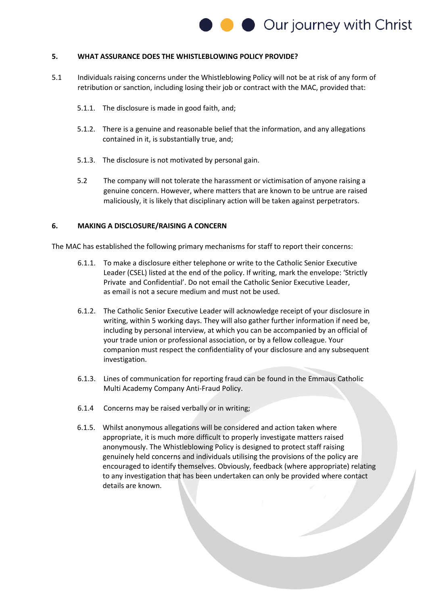

#### **5. WHAT ASSURANCE DOES THE WHISTLEBLOWING POLICY PROVIDE?**

- 5.1 Individuals raising concerns under the Whistleblowing Policy will not be at risk of any form of retribution or sanction, including losing their job or contract with the MAC, provided that:
	- 5.1.1. The disclosure is made in good faith, and;
	- 5.1.2. There is a genuine and reasonable belief that the information, and any allegations contained in it, is substantially true, and;
	- 5.1.3. The disclosure is not motivated by personal gain.
	- 5.2 The company will not tolerate the harassment or victimisation of anyone raising a genuine concern. However, where matters that are known to be untrue are raised maliciously, it is likely that disciplinary action will be taken against perpetrators.

#### **6. MAKING A DISCLOSURE/RAISING A CONCERN**

The MAC has established the following primary mechanisms for staff to report their concerns:

- 6.1.1. To make a disclosure either telephone or write to the Catholic Senior Executive Leader (CSEL) listed at the end of the policy. If writing, mark the envelope: 'Strictly Private and Confidential'. Do not email the Catholic Senior Executive Leader, as email is not a secure medium and must not be used.
- 6.1.2. The Catholic Senior Executive Leader will acknowledge receipt of your disclosure in writing, within 5 working days. They will also gather further information if need be, including by personal interview, at which you can be accompanied by an official of your trade union or professional association, or by a fellow colleague. Your companion must respect the confidentiality of your disclosure and any subsequent investigation.
- 6.1.3. Lines of communication for reporting fraud can be found in the Emmaus Catholic Multi Academy Company Anti-Fraud Policy.
- 6.1.4 Concerns may be raised verbally or in writing;
- 6.1.5. Whilst anonymous allegations will be considered and action taken where appropriate, it is much more difficult to properly investigate matters raised anonymously. The Whistleblowing Policy is designed to protect staff raising genuinely held concerns and individuals utilising the provisions of the policy are encouraged to identify themselves. Obviously, feedback (where appropriate) relating to any investigation that has been undertaken can only be provided where contact details are known.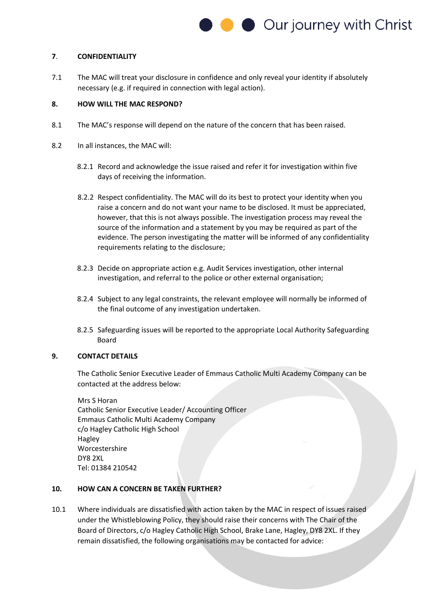

#### **7**. **CONFIDENTIALITY**

7.1 The MAC will treat your disclosure in confidence and only reveal your identity if absolutely necessary (e.g. if required in connection with legal action).

#### **8. HOW WILL THE MAC RESPOND?**

- 8.1 The MAC's response will depend on the nature of the concern that has been raised.
- 8.2 In all instances, the MAC will:
	- 8.2.1 Record and acknowledge the issue raised and refer it for investigation within five days of receiving the information.
	- 8.2.2 Respect confidentiality. The MAC will do its best to protect your identity when you raise a concern and do not want your name to be disclosed. It must be appreciated, however, that this is not always possible. The investigation process may reveal the source of the information and a statement by you may be required as part of the evidence. The person investigating the matter will be informed of any confidentiality requirements relating to the disclosure;
	- 8.2.3 Decide on appropriate action e.g. Audit Services investigation, other internal investigation, and referral to the police or other external organisation;
	- 8.2.4 Subject to any legal constraints, the relevant employee will normally be informed of the final outcome of any investigation undertaken.
	- 8.2.5 Safeguarding issues will be reported to the appropriate Local Authority Safeguarding Board

#### **9. CONTACT DETAILS**

The Catholic Senior Executive Leader of Emmaus Catholic Multi Academy Company can be contacted at the address below:

Mrs S Horan Catholic Senior Executive Leader/ Accounting Officer Emmaus Catholic Multi Academy Company c/o Hagley Catholic High School Hagley Worcestershire DY8 2XL Tel: 01384 210542

#### **10. HOW CAN A CONCERN BE TAKEN FURTHER?**

10.1 Where individuals are dissatisfied with action taken by the MAC in respect of issues raised under the Whistleblowing Policy, they should raise their concerns with The Chair of the Board of Directors, c/o Hagley Catholic High School, Brake Lane, Hagley, DY8 2XL. If they remain dissatisfied, the following organisations may be contacted for advice: